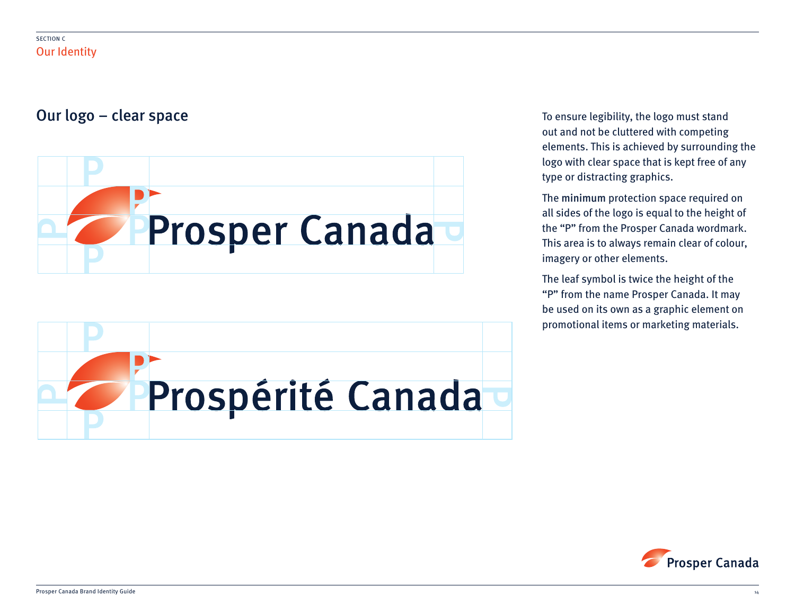# Our logo – clear space and the space of the stand of the stand of the stand of the logo must stand





out and not be cluttered with competing elements. This is achieved by surrounding the logo with clear space that is kept free of any type or distracting graphics.

The minimum protection space required on all sides of the logo is equal to the height of the "P" from the Prosper Canada wordmark. This area is to always remain clear of colour, imagery or other elements.

The leaf symbol is twice the height of the "P" from the name Prosper Canada. It may be used on its own as a graphic element on promotional items or marketing materials.

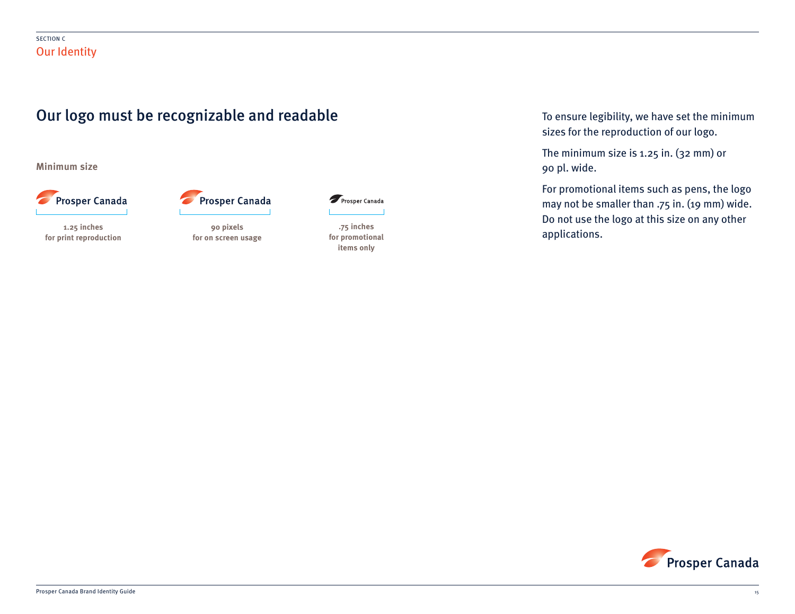

**Minimum size**



**for print reproduction**

**90 pixels**

**for on screen usage**

**Prosper Canada** 

Prosper Canada

**.75 inches for promotional items only**

To ensure legibility, we have set the minimum sizes for the reproduction of our logo.

The minimum size is 1.25 in. (32 mm) or 90 pl. wide.

For promotional items such as pens, the logo may not be smaller than .75 in. (19 mm) wide. Do not use the logo at this size on any other and the state of the set of the set of the set of the set of the set of the set of the set of the set of the se<br>Applications the set of the set of the set of the set of the set of the set of the set of the set of the set o